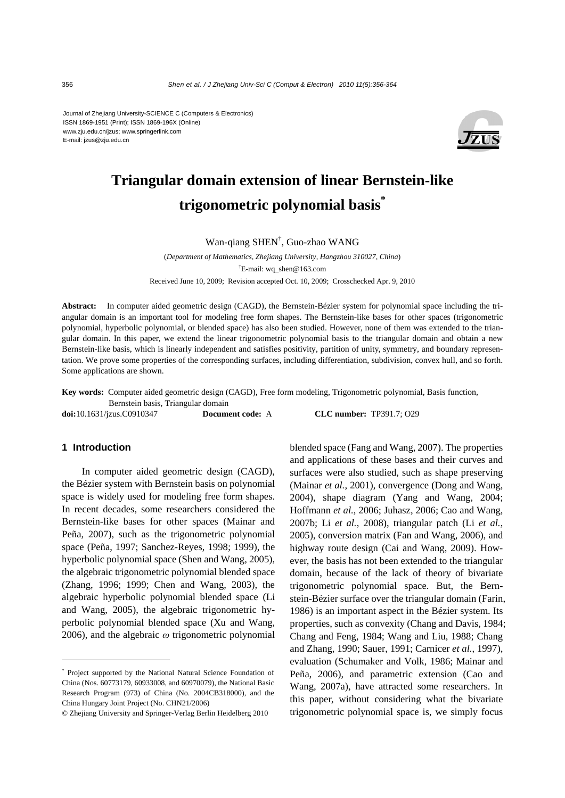Journal of Zhejiang University-SCIENCE C (Computers & Electronics) ISSN 1869-1951 (Print); ISSN 1869-196X (Online) www.zju.edu.cn/jzus; www.springerlink.com E-mail: jzus@zju.edu.cn



# **Triangular domain extension of linear Bernstein-like trigonometric polynomial basis\***

Wan-qiang SHEN† , Guo-zhao WANG

(*Department of Mathematics, Zhejiang University, Hangzhou 310027, China*) † E-mail: wq\_shen@163.com Received June 10, 2009; Revision accepted Oct. 10, 2009; Crosschecked Apr. 9, 2010

**Abstract:** In computer aided geometric design (CAGD), the Bernstein-Bézier system for polynomial space including the triangular domain is an important tool for modeling free form shapes. The Bernstein-like bases for other spaces (trigonometric polynomial, hyperbolic polynomial, or blended space) has also been studied. However, none of them was extended to the triangular domain. In this paper, we extend the linear trigonometric polynomial basis to the triangular domain and obtain a new Bernstein-like basis, which is linearly independent and satisfies positivity, partition of unity, symmetry, and boundary representation. We prove some properties of the corresponding surfaces, including differentiation, subdivision, convex hull, and so forth. Some applications are shown.

**Key words:** Computer aided geometric design (CAGD), Free form modeling, Trigonometric polynomial, Basis function, Bernstein basis, Triangular domain

**doi:**10.1631/jzus.C0910347 **Document code:** A **CLC number:** TP391.7; O29

#### **1 Introduction**

In computer aided geometric design (CAGD), the Bézier system with Bernstein basis on polynomial space is widely used for modeling free form shapes. In recent decades, some researchers considered the Bernstein-like bases for other spaces (Mainar and Peña, 2007), such as the trigonometric polynomial space (Peña, 1997; Sanchez-Reyes, 1998; 1999), the hyperbolic polynomial space (Shen and Wang, 2005), the algebraic trigonometric polynomial blended space (Zhang, 1996; 1999; Chen and Wang, 2003), the algebraic hyperbolic polynomial blended space (Li and Wang, 2005), the algebraic trigonometric hyperbolic polynomial blended space (Xu and Wang, 2006), and the algebraic *ω* trigonometric polynomial

blended space (Fang and Wang, 2007). The properties and applications of these bases and their curves and surfaces were also studied, such as shape preserving (Mainar *et al.*, 2001), convergence (Dong and Wang, 2004), shape diagram (Yang and Wang, 2004; Hoffmann *et al.*, 2006; Juhasz, 2006; Cao and Wang, 2007b; Li *et al.*, 2008), triangular patch (Li *et al.*, 2005), conversion matrix (Fan and Wang, 2006), and highway route design (Cai and Wang, 2009). However, the basis has not been extended to the triangular domain, because of the lack of theory of bivariate trigonometric polynomial space. But, the Bernstein-Bézier surface over the triangular domain (Farin, 1986) is an important aspect in the Bézier system. Its properties, such as convexity (Chang and Davis, 1984; Chang and Feng, 1984; Wang and Liu, 1988; Chang and Zhang, 1990; Sauer, 1991; Carnicer *et al.*, 1997), evaluation (Schumaker and Volk, 1986; Mainar and Peña, 2006), and parametric extension (Cao and Wang, 2007a), have attracted some researchers. In this paper, without considering what the bivariate trigonometric polynomial space is, we simply focus

<sup>\*</sup> Project supported by the National Natural Science Foundation of China (Nos. 60773179, 60933008, and 60970079), the National Basic Research Program (973) of China (No. 2004CB318000), and the China Hungary Joint Project (No. CHN21/2006)

<sup>©</sup> Zhejiang University and Springer-Verlag Berlin Heidelberg 2010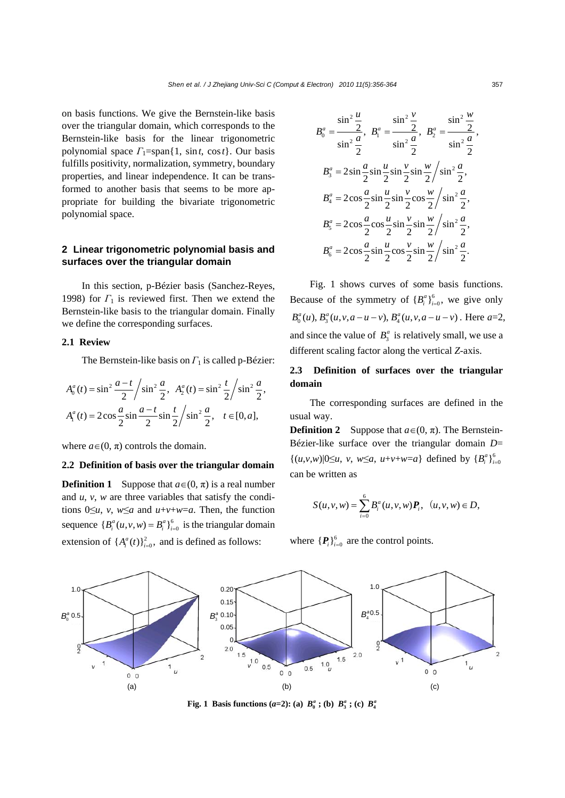on basis functions. We give the Bernstein-like basis over the triangular domain, which corresponds to the Bernstein-like basis for the linear trigonometric polynomial space *Γ*1=span{1, sin*t*, cos*t*}. Our basis fulfills positivity, normalization, symmetry, boundary properties, and linear independence. It can be transformed to another basis that seems to be more appropriate for building the bivariate trigonometric polynomial space.

# **2 Linear trigonometric polynomial basis and surfaces over the triangular domain**

In this section, p-Bézier basis (Sanchez-Reyes, 1998) for *Γ*1 is reviewed first. Then we extend the Bernstein-like basis to the triangular domain. Finally we define the corresponding surfaces.

#### **2.1 Review**

The Bernstein-like basis on *Γ*<sub>1</sub> is called p-Bézier:

$$
A_0^a(t) = \sin^2 \frac{a-t}{2} / \sin^2 \frac{a}{2}, A_2^a(t) = \sin^2 \frac{t}{2} / \sin^2 \frac{a}{2},
$$
  

$$
A_1^a(t) = 2 \cos \frac{a}{2} \sin \frac{a-t}{2} \sin \frac{t}{2} / \sin^2 \frac{a}{2}, t \in [0, a],
$$

where  $a \in (0, \pi)$  controls the domain.

# **2.2 Definition of basis over the triangular domain**

**Definition 1** Suppose that  $a \in (0, \pi)$  is a real number and *u*, *v*, *w* are three variables that satisfy the conditions  $0 \le u$ , *v*,  $w \le a$  and  $u+v+w=a$ . Then, the function sequence  ${B_i^a(u, v, w) = B_i^a}_{i=0}^6$  is the triangular domain extension of  $\{A_i^a(t)\}_{i=0}^2$ , and is defined as follows:

$$
B_0^a = \frac{\sin^2 \frac{u}{2}}{\sin^2 \frac{a}{2}}, \ B_1^a = \frac{\sin^2 \frac{v}{2}}{\sin^2 \frac{a}{2}}, \ B_2^a = \frac{\sin^2 \frac{w}{2}}{\sin^2 \frac{a}{2}},
$$
  

$$
B_3^a = 2\sin \frac{a}{2}\sin \frac{u}{2}\sin \frac{v}{2}\sin \frac{w}{2}/\sin^2 \frac{a}{2},
$$
  

$$
B_4^a = 2\cos \frac{a}{2}\sin \frac{u}{2}\sin \frac{v}{2}\cos \frac{w}{2}/\sin^2 \frac{a}{2},
$$
  

$$
B_5^a = 2\cos \frac{a}{2}\cos \frac{u}{2}\sin \frac{v}{2}\sin \frac{w}{2}/\sin^2 \frac{a}{2},
$$
  

$$
B_6^a = 2\cos \frac{a}{2}\sin \frac{u}{2}\cos \frac{v}{2}\sin \frac{w}{2}/\sin^2 \frac{a}{2}.
$$

Fig. 1 shows curves of some basis functions. Because of the symmetry of  ${B_i^a}_{i=0}^6$ , we give only  $B_0^a(u)$ ,  $B_3^a(u, v, a - u - v)$ ,  $B_4^a(u, v, a - u - v)$ . Here  $a=2$ , and since the value of  $B_3^a$  is relatively small, we use a different scaling factor along the vertical *Z*-axis.

# **2.3 Definition of surfaces over the triangular domain**

The corresponding surfaces are defined in the usual way.

**Definition 2** Suppose that  $a \in (0, \pi)$ . The Bernstein-Bézier-like surface over the triangular domain *D*=  $\{(u,v,w)|0\leq u, v, w\leq a, u+v+w=a\}$  defined by  $\{B_i^a\}_{i=0}^6$ can be written as

$$
S(u, v, w) = \sum_{i=0}^{6} B_i^{a}(u, v, w) \mathbf{P}_i, \ \ (u, v, w) \in D,
$$

where  ${P_i}_{i=0}^6$  are the control points.



**Fig. 1 Basis functions (***a***=2): (a)**  $B_0^a$ **; (b)**  $B_3^a$ **; (c)**  $B_4^a$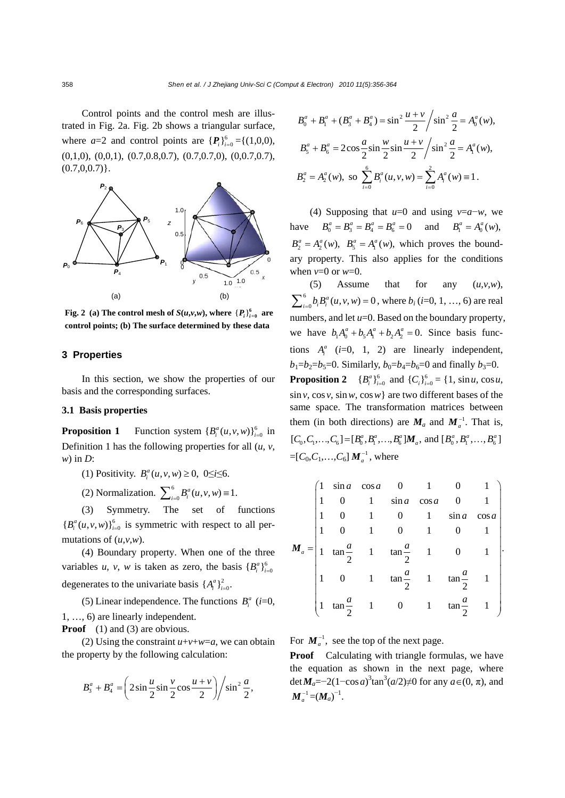Control points and the control mesh are illustrated in Fig. 2a. Fig. 2b shows a triangular surface, where  $a=2$  and control points are  $\{P_i\}_{i=0}^6 = \{(1,0,0),\}$  $(0,1,0), (0,0,1), (0.7,0.8,0.7), (0.7,0.7,0), (0,0.7,0.7),$  $(0.7, 0.0.7)$ .



**Fig. 2** (a) The control mesh of  $S(u,v,w)$ , where  $\{P_i\}_{i=0}^6$  are **control points; (b) The surface determined by these data**

# **3 Properties**

In this section, we show the properties of our basis and the corresponding surfaces.

# **3.1 Basis properties**

**Proposition 1** Function system  ${B_i^a(u, v, w)}_{i=0}^6$  in Definition 1 has the following properties for all  $(u, v,$ *w*) in *D*:

(1) Positivity.  $B_i^a(u, v, w) \ge 0$ , 0 $\le i \le 6$ .

(2) Normalization. 
$$
\sum_{i=0}^{6} B_i^a(u, v, w) \equiv 1.
$$

(3) Symmetry. The set of functions  ${B_i^a(u, v, w)}_{i=0}^6$  is symmetric with respect to all permutations of (*u*,*v*,*w*).

(4) Boundary property. When one of the three variables *u*, *v*, *w* is taken as zero, the basis  ${B_i^a}_{i=0}^6$ degenerates to the univariate basis  $\{A_i^a\}_{i=0}^2$ .

(5) Linear independence. The functions  $B_i^a$  (*i*=0, 1, …, 6) are linearly independent.

**Proof** (1) and (3) are obvious.

(2) Using the constraint  $u+v+w=a$ , we can obtain the property by the following calculation:

$$
B_3^a + B_4^a = \left(2\sin\frac{u}{2}\sin\frac{v}{2}\cos\frac{u+v}{2}\right) / \sin^2\frac{a}{2},
$$

$$
B_0^a + B_1^a + (B_3^a + B_4^a) = \sin^2 \frac{u+v}{2} / \sin^2 \frac{a}{2} = A_0^a(w),
$$
  
\n
$$
B_5^a + B_6^a = 2\cos \frac{a}{2} \sin \frac{w}{2} \sin \frac{u+v}{2} / \sin^2 \frac{a}{2} = A_1^a(w),
$$
  
\n
$$
B_2^a = A_2^a(w), \text{ so } \sum_{i=0}^6 B_i^a(u, v, w) = \sum_{i=0}^2 A_i^a(w) \equiv 1.
$$

(4) Supposing that *u*=0 and using *v*=*a*−*w*, we have  $B_0^a = B_3^a = B_4^a = B_6^a = 0$  and  $B_1^a = A_0^a(w)$ ,  $B_2^a = A_2^a(w)$ ,  $B_5^a = A_1^a(w)$ , which proves the boundary property. This also applies for the conditions when  $v=0$  or  $w=0$ .

(5) Assume that for any  $(u, v, w)$ ,  $\sum_{i=0}^{6} b_i B_i^a(u, v, w) = 0$ , where  $b_i$  (*i*=0, 1, ..., 6) are real numbers, and let *u*=0. Based on the boundary property, we have  $b_1 A_0^a + b_5 A_1^a + b_2 A_2^a = 0$ . Since basis functions  $A_i^a$  ( $i=0$ , 1, 2) are linearly independent,  $b_1 = b_2 = b_5 = 0$ . Similarly,  $b_0 = b_4 = b_6 = 0$  and finally  $b_3 = 0$ . **Proposition 2**  ${B_i^a}_{i=0}^6$  and  ${C_i}_{i=0}^6 = {1, \sin u, \cos u}$ , sin*v*, cos *v*, sin*w*, cos*w*} are two different bases of the same space. The transformation matrices between them (in both directions) are  $M_a$  and  $M_a^{-1}$ . That is,  $[C_0, C_1, \ldots, C_6] = [B_0^a, B_1^a, \ldots, B_6^a] \mathbf{M}_a$ , and  $[B_0^a, B_1^a, \ldots, B_6^a]$ =[ $C_0$ , $C_1$ ,..., $C_6$ ]  $M_a^{-1}$ , where

$$
M_a = \begin{pmatrix} 1 & \sin a & \cos a & 0 & 1 & 0 & 1 \\ 1 & 0 & 1 & \sin a & \cos a & 0 & 1 \\ 1 & 0 & 1 & 0 & 1 & \sin a & \cos a \\ 1 & 0 & 1 & 0 & 1 & 0 & 1 \\ 1 & \tan \frac{a}{2} & 1 & \tan \frac{a}{2} & 1 & 0 & 1 \\ 1 & 0 & 1 & \tan \frac{a}{2} & 1 & \tan \frac{a}{2} & 1 \\ 1 & \tan \frac{a}{2} & 1 & 0 & 1 & \tan \frac{a}{2} & 1 \end{pmatrix}
$$

For  $M_a^{-1}$ , see the top of the next page.

**Proof** Calculating with triangle formulas, we have the equation as shown in the next page, where det $M_a = -2(1-\cos a)^3 \tan^3(a/2) \neq 0$  for any  $a \in (0, \pi)$ , and  $\boldsymbol{M}_a^{-1} = (\boldsymbol{M}_a)^{-1}.$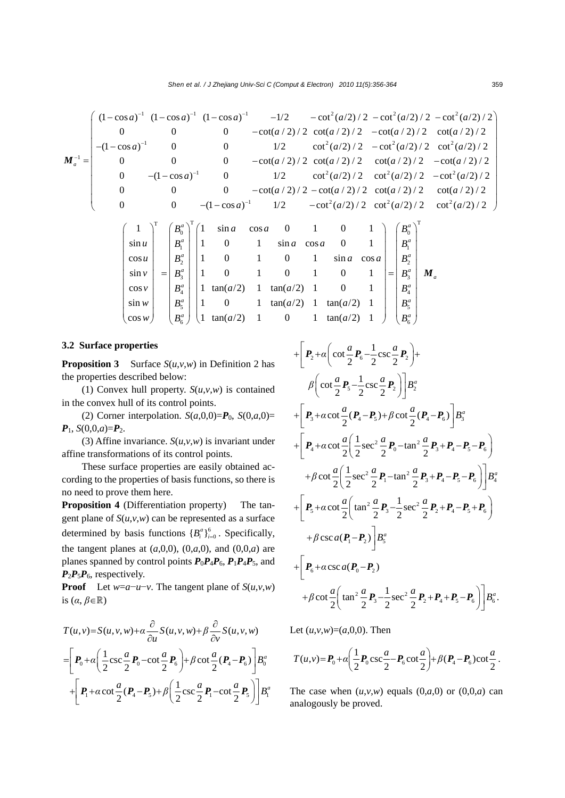111 2 2 2 1 2 22 1 (1 cos ) (1 cos ) (1 cos ) 1/2 cot ( /2) / 2 cot ( /2) / 2 cot ( /2) / 2 0 0 0 cot( / 2) / 2 cot( / 2) / 2 cot( / 2) / 2 cot( / 2) / 2 (1 cos ) 0 0 1/2 cot ( /2) / 2 cot ( /2) / 2 cot ( /2) / 2 0 0 0 cot( / 2) / 2 cot( / 2) / 2 cot( / *<sup>a</sup> aaa a a a aa a a a a aa aa a* −−− − − − − − −− − − − − −− − *M* = − 1 22 2 1 22 2 2) / 2 cot( / 2) / 2 0 (1 cos ) 0 1/2 cot ( /2) / 2 cot ( /2) / 2 cot ( /2) / 2 0 0 0 cot( / 2) / 2 cot( / 2) / 2 cot( / 2) / 2 cot( / 2) / 2 0 0 (1 cos ) 1/2 cot ( /2) / 2 cot ( /2) / 2 cot ( /2) / 2 *a a aa a a aa a a aa a* − − <sup>⎛</sup> <sup>⎞</sup> <sup>⎜</sup> <sup>⎟</sup> <sup>⎜</sup> <sup>⎟</sup> <sup>⎜</sup> <sup>⎟</sup> <sup>⎜</sup> <sup>⎟</sup> <sup>⎜</sup> <sup>−</sup> <sup>⎟</sup> <sup>⎜</sup> <sup>⎟</sup> −− − <sup>⎜</sup> <sup>⎟</sup> <sup>⎜</sup> − − <sup>⎟</sup> <sup>⎜</sup> <sup>⎟</sup> <sup>⎝</sup> −− − <sup>⎠</sup> T T 0 1 2 3 4 5 6 1 1 sin cos 0 1 0 1 sin 1 0 1 sin cos 0 1 cos 1 0 1 0 1 sin cos sin 1 0 1 0 1 0 1 cos 1 tan( /2) 1 tan( /2) 1 0 1 sin 1 0 1 tan( /2) 1 tan( /2) 1 cos 1 tan( /2) 1 0 1 tan( /2 *a a a a a a a B a a u aa B u aa B v B v aa B w aa B wa a B* ⎛ ⎞ ⎛ ⎞ ⎜ ⎟ ⎜ ⎟ ⎜ ⎟ ⎜ ⎟ ⎜ ⎟ ⎜ ⎟ ⎜ ⎟ ⎜ ⎟ ⎜ ⎟ = ⎜ ⎟ ⎜ ⎟ ⎜ ⎟ ⎜ ⎟ ⎜ ⎟ ⎜ ⎟ ⎜ ⎟ ⎜ ⎟ ⎜ ⎟ ⎝ ⎠ ⎝ ⎠ T 0 1 2 3 4 5 <sup>6</sup> ) 1 *a a a a a a a a B B B B B B B* ⎛ ⎞ ⎛ ⎞ ⎜ ⎟ ⎜ ⎟ ⎜ ⎟ ⎜ ⎟ ⎜ ⎟ <sup>=</sup> ⎜ ⎟ ⎜ ⎟ ⎜ ⎟ ⎜ ⎟ ⎜ ⎟ ⎝ ⎠ ⎝ ⎠ *M*

#### **3.2 Surface properties**

**Proposition 3** Surface  $S(u, v, w)$  in Definition 2 has the properties described below:

(1) Convex hull property.  $S(u,v,w)$  is contained in the convex hull of its control points.

(2) Corner interpolation.  $S(a,0,0)=P_0$ ,  $S(0,a,0)=$  $P_1$ , *S*(0,0,*a*)= $P_2$ .

(3) Affine invariance.  $S(u, v, w)$  is invariant under affine transformations of its control points.

These surface properties are easily obtained according to the properties of basis functions, so there is no need to prove them here.

**Proposition 4** (Differentiation property) The tangent plane of *S*(*u*,*v*,*w*) can be represented as a surface determined by basis functions  ${B_i^a}_{i=0}^6$ . Specifically, the tangent planes at  $(a,0,0)$ ,  $(0,a,0)$ , and  $(0,0,a)$  are planes spanned by control points  $P_0P_4P_6$ ,  $P_1P_4P_5$ , and  $P_2P_5P_6$ , respectively.

**Proof** Let *w*=*a*−*u*−*v*. The tangent plane of  $S(u, v, w)$ is  $(\alpha, \beta \in \mathbb{R})$ 

$$
T(u, v) = S(u, v, w) + \alpha \frac{\partial}{\partial u} S(u, v, w) + \beta \frac{\partial}{\partial v} S(u, v, w)
$$
  
=  $\left[ \boldsymbol{P}_0 + \alpha \left( \frac{1}{2} \csc \frac{a}{2} \boldsymbol{P}_0 - \cot \frac{a}{2} \boldsymbol{P}_6 \right) + \beta \cot \frac{a}{2} (\boldsymbol{P}_4 - \boldsymbol{P}_6) \right] B_0^a$   
+  $\left[ \boldsymbol{P}_1 + \alpha \cot \frac{a}{2} (\boldsymbol{P}_4 - \boldsymbol{P}_5) + \beta \left( \frac{1}{2} \csc \frac{a}{2} \boldsymbol{P}_1 - \cot \frac{a}{2} \boldsymbol{P}_5 \right) \right] B_1^a$ 

$$
+\left[P_{2}+\alpha\left(\cot\frac{a}{2}P_{6}-\frac{1}{2}\csc\frac{a}{2}P_{2}\right)+\beta\left(\cot\frac{a}{2}P_{5}-\frac{1}{2}\csc\frac{a}{2}P_{2}\right)\right]B_{2}^{a}
$$
  
+
$$
\left[P_{3}+\alpha\cot\frac{a}{2}(P_{4}-P_{5})+\beta\cot\frac{a}{2}(P_{4}-P_{6})\right]B_{3}^{a}
$$
+
$$
\left[P_{4}+\alpha\cot\frac{a}{2}\left(\frac{1}{2}\sec^{2}\frac{a}{2}P_{0}-\tan^{2}\frac{a}{2}P_{3}+P_{4}-P_{5}-P_{6}\right)+\beta\cot\frac{a}{2}\left(\frac{1}{2}\sec^{2}\frac{a}{2}P_{1}-\tan^{2}\frac{a}{2}P_{3}+P_{4}-P_{5}-P_{6}\right)\right]B_{4}^{a}
$$
+
$$
\left[P_{5}+\alpha\cot\frac{a}{2}\left(\tan^{2}\frac{a}{2}P_{3}-\frac{1}{2}\sec^{2}\frac{a}{2}P_{2}+P_{4}-P_{5}+P_{6}\right)+\beta\csc\alpha(P_{1}-P_{2})\right]B_{5}^{a}
$$
+
$$
\left[P_{6}+\alpha\csc\alpha(P_{0}-P_{2})\right]
$$
+
$$
+\beta\cot\frac{a}{2}\left(\tan^{2}\frac{a}{2}P_{3}-\frac{1}{2}\sec^{2}\frac{a}{2}P_{2}+P_{4}+P_{5}-P_{6}\right)\right]B_{6}^{a}.
$$

Let  $(u, v, w) = (a, 0, 0)$ . Then

$$
T(u,v) = P_0 + \alpha \left(\frac{1}{2}P_0 \csc \frac{a}{2} - P_6 \cot \frac{a}{2}\right) + \beta (P_4 - P_6) \cot \frac{a}{2}.
$$

The case when  $(u, v, w)$  equals  $(0, a, 0)$  or  $(0, 0, a)$  can analogously be proved.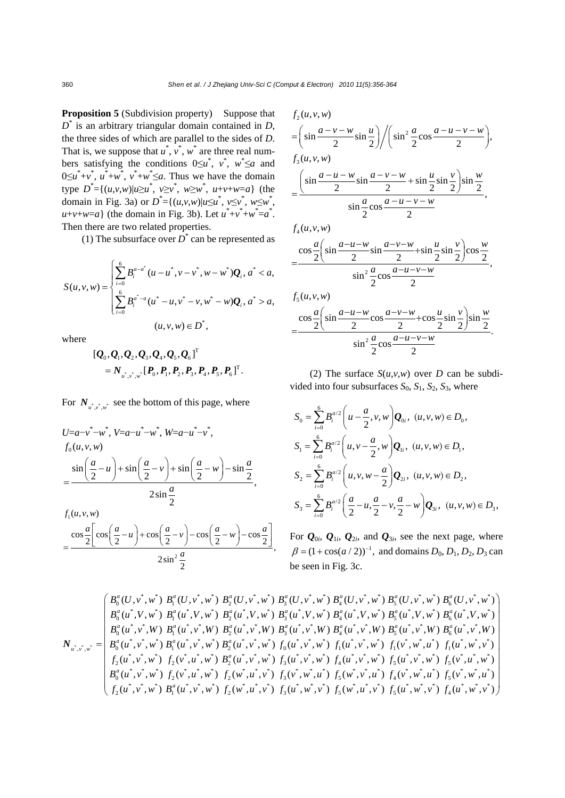**Proposition 5** (Subdivision property) Suppose that *D*\* is an arbitrary triangular domain contained in *D*, the three sides of which are parallel to the sides of *D*. That is, we suppose that  $u^*$ ,  $v^*$ ,  $w^*$  are three real numbers satisfying the conditions  $0 \le u^*$ ,  $v^*$ ,  $w^* \le a$  and  $0 \le u^* + v^*$ ,  $u^* + w^*$ ,  $v^* + w^* \le a$ . Thus we have the domain type  $D^* = \{(u,v,w) | u \ge u^*, v \ge v^*, w \ge w^*, u+v+w=a\}$  (the domain in Fig. 3a) or  $D^* = \{(u,v,w) | u \le u^*, v \le v^*, w \le w^* \}$  $u+v+w=a$ } (the domain in Fig. 3b). Let  $u^*+v^*+w^*=a^*$ . Then there are two related properties.

(1) The subsurface over  $D^*$  can be represented as

$$
S(u, v, w) = \begin{cases} \sum_{i=0}^{6} B_i^{a-a^*} (u - u^*, v - v^*, w - w^*) \mathbf{Q}_i, a^* < a, \\ \sum_{i=0}^{6} B_i^{a^* - a} (u^* - u, v^* - v, w^* - w) \mathbf{Q}_i, a^* > a, \\ (u, v, w) \in D^*, \end{cases}
$$

where

$$
[\mathcal{Q}_0, \mathcal{Q}_1, \mathcal{Q}_2, \mathcal{Q}_3, \mathcal{Q}_4, \mathcal{Q}_5, \mathcal{Q}_6]^T
$$
  
=  $N_{u^*, v^*, w^*} [P_0, P_1, P_2, P_3, P_4, P_5, P_6]^T$ .

For  $N_{u^* u^*}$  see the bottom of this page, where

$$
U=a-v^{*}-w^{*}, V=a-u^{*}-w^{*}, W=a-u^{*}-v^{*},
$$
  
\n
$$
f_{0}(u,v,w)
$$
  
\n
$$
= \frac{\sin{\left(\frac{a}{2}-u\right)}+\sin{\left(\frac{a}{2}-v\right)}+\sin{\left(\frac{a}{2}-w\right)}-\sin{\frac{a}{2}}}{2\sin{\frac{a}{2}}},
$$
  
\n
$$
f_{1}(u,v,w)
$$
  
\n
$$
\cos{\frac{a}{2}}\left[\cos{\left(\frac{a}{2}-u\right)}+\cos{\left(\frac{a}{2}-v\right)}-\cos{\left(\frac{a}{2}-w\right)}-\cos{\frac{a}{2}}\right]
$$

$$
=\frac{\cos\frac{a}{2}\left[\cos\left(\frac{a}{2}-u\right)+\cos\left(\frac{a}{2}-v\right)-\cos\left(\frac{a}{2}-w\right)-\cos\frac{a}{2}\right]}{2\sin^2\frac{a}{2}},
$$

$$
f_2(u, v, w)
$$
  
=  $\left(\sin \frac{a - v - w}{2} \sin \frac{u}{2}\right) / \left(\sin^2 \frac{a}{2} \cos \frac{a - u - v - w}{2}\right)$ ,  

$$
f_3(u, v, w)
$$
  
=  $\frac{\left(\sin \frac{a - u - w}{2} \sin \frac{a - v - w}{2} + \sin \frac{u}{2} \sin \frac{v}{2}\right) \sin \frac{w}{2}}{\sin \frac{a}{2} \cos \frac{a - u - v - w}{2}}$ ,  

$$
f_4(u, v, w)
$$
  
=  $\frac{\cos \frac{a}{2} \left(\sin \frac{a - u - w}{2} \sin \frac{a - v - w}{2} + \sin \frac{u}{2} \sin \frac{v}{2}\right) \cos \frac{w}{2}}{\sin^2 \frac{a}{2} \cos \frac{a - u - v - w}{2}}$ ,  

$$
f_5(u, v, w)
$$
  
=  $\frac{\cos \frac{a}{2} \left(\sin \frac{a - u - w}{2} \cos \frac{a - v - w}{2} + \cos \frac{u}{2} \sin \frac{v}{2}\right) \sin \frac{w}{2}}{\sin^2 \frac{a}{2} \cos \frac{a - u - v - w}{2}}$ .

(2) The surface  $S(u, v, w)$  over *D* can be subdivided into four subsurfaces  $S_0$ ,  $S_1$ ,  $S_2$ ,  $S_3$ , where

$$
S_0 = \sum_{i=0}^{6} B_i^{a/2} \left( u - \frac{a}{2}, v, w \right) Q_{0i}, \ (u, v, w) \in D_0,
$$
  
\n
$$
S_1 = \sum_{i=0}^{6} B_i^{a/2} \left( u, v - \frac{a}{2}, w \right) Q_{1i}, \ (u, v, w) \in D_1,
$$
  
\n
$$
S_2 = \sum_{i=0}^{6} B_i^{a/2} \left( u, v, w - \frac{a}{2} \right) Q_{2i}, \ (u, v, w) \in D_2,
$$
  
\n
$$
S_3 = \sum_{i=0}^{6} B_i^{a/2} \left( \frac{a}{2} - u, \frac{a}{2} - v, \frac{a}{2} - w \right) Q_{3i}, \ (u, v, w) \in D_3,
$$

For  $Q_{0i}$ ,  $Q_{1i}$ ,  $Q_{2i}$ , and  $Q_{3i}$ , see the next page, where  $\beta = (1 + \cos(a / 2))^{-1}$ , and domains  $D_0, D_1, D_2, D_3$  can be seen in Fig. 3c.

$$
\boldsymbol{N}_{u^*,v^*,w^*} = \begin{pmatrix} B_0^a(U,v^*,w^*) & B_1^a(U,v^*,w^*) & B_2^a(U,v^*,w^*) & B_3^a(U,v^*,w^*) & B_4^a(U,v^*,w^*) & B_5^a(U,v^*,w^*) & B_6^a(U,v^*,w^*) \\ B_0^a(u^*,V,w^*) & B_1^a(u^*,V,w^*) & B_2^a(u^*,V,w^*) & B_3^a(u^*,V,w^*) & B_4^a(u^*,V,w^*) & B_5^a(u^*,V,w^*) & B_6^a(u^*,V,w^*) \\ B_0^a(u^*,v^*,W) & B_1^a(u^*,v^*,W) & B_2^a(u^*,v^*,W) & B_3^a(u^*,v^*,W) & B_4^a(u^*,v^*,W) & B_5^a(u^*,v^*,W) & B_6^a(u^*,v^*,W) \\ B_0^a(u^*,v^*,w^*) & B_1^a(u^*,v^*,w^*) & B_2^a(u^*,v^*,w^*) & f_0(u^*,v^*,w^*) & f_1(u^*,v^*,w^*) & f_1(u^*,w^*,w^*) \\ f_2(u^*,v^*,w^*) & f_2(v^*,u^*,w^*) & B_2^a(u^*,v^*,w^*) & f_3(u^*,v^*,w^*) & f_4(u^*,v^*,w^*) & f_5(u^*,v^*,w^*) & f_5(v^*,u^*,w^*) \\ f_2(u^*,v^*,w^*) & f_2(v^*,u^*,w^*) & f_2(w^*,u^*,v^*) & f_3(v^*,w^*,u^*) & f_5(w^*,v^*,u^*) & f_5(v^*,w^*,u^*) & f_5(v^*,w^*,u^*) \\ f_2(u^*,v^*,w^*) & B_1^a(u^*,v^*,w^*) & f_2(w^*,u^*,v^*) & f_3(u^*,w^*,v^*) & f_5(w^*,u^*,v^*) & f_5(u^*,w^*,v^*) & f_4(u^*,w^*,v^*) \end{pmatrix}
$$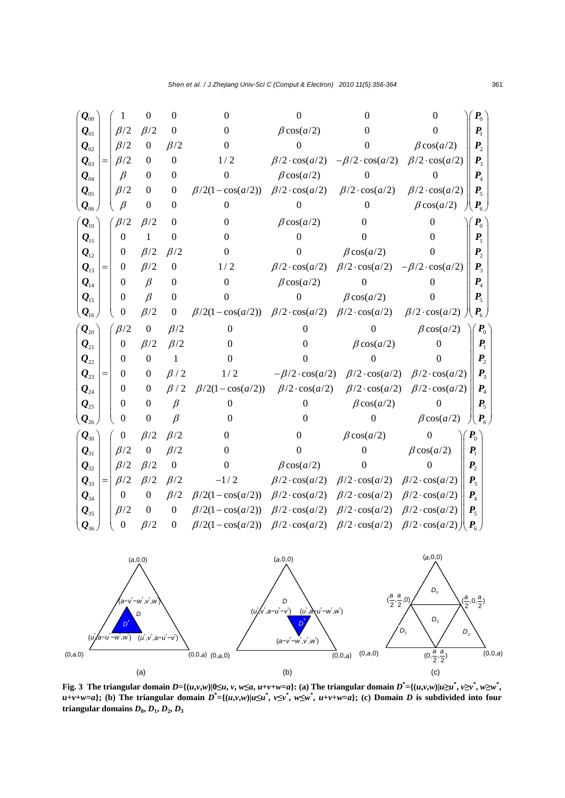



Fig. 3 The triangular domain  $D = {(u,v,w)|0\le u, v, w \le a, u+v+w=a}$ : (a) The triangular domain  $D^* = {(u,v,w)|u \ge u^*, v \ge v^*, w \ge w^*}$ ,  $u+v+w=a$ }; (b) The triangular domain  $D^*=\{(u,v,w)|u\leq u^*, v\leq v^*, u\leq w^*, u+v+w=a\}$ ; (c) Domain D is subdivided into four **triangular domains**  $D_0$ ,  $D_1$ ,  $D_2$ ,  $D_3$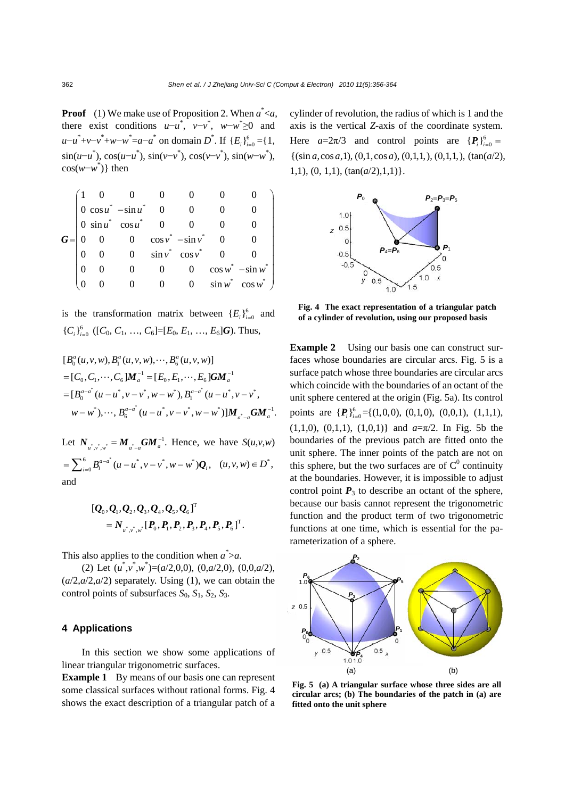**Proof** (1) We make use of Proposition 2. When *a*\* <*a*, there exist conditions  $u-u^*$ ,  $v-v^*$ ,  $w-w^* \ge 0$  and  $u-u^* + v-v^* + w-w^* = a-a^*$  on domain *D*<sup>\*</sup>. If  ${E_i}_{i=0}^6 = {1,$  $\sin(u-u^*), \cos(u-u^*), \sin(v-v^*), \cos(v-v^*), \sin(w-w^*),$  $cos(w-w^*)$ } then

$$
G = \begin{pmatrix} 1 & 0 & 0 & 0 & 0 & 0 & 0 \\ 0 & cosu^* & -sinu^* & 0 & 0 & 0 & 0 \\ 0 & sinu^* & cosu^* & 0 & 0 & 0 & 0 \\ 0 & 0 & 0 & cosv^* & -sinv^* & 0 & 0 \\ 0 & 0 & 0 & sinv^* & cosv^* & 0 & 0 \\ 0 & 0 & 0 & 0 & 0 & cosw^* & -sinw^* \\ 0 & 0 & 0 & 0 & 0 & sinv^* & cosw^* \end{pmatrix}
$$

is the transformation matrix between  ${E_i}_{i=0}^6$  and  ${C_i}_{i=0}^{6}$  ([C<sub>0</sub>, C<sub>1</sub>, ..., C<sub>6</sub>]=[E<sub>0</sub>, E<sub>1</sub>, ..., E<sub>6</sub>]**G**). Thus,

$$
[B_0^a(u, v, w), B_1^a(u, v, w), \cdots, B_6^a(u, v, w)]
$$
  
=  $[C_0, C_1, \cdots, C_6]M_a^{-1} = [E_0, E_1, \cdots, E_6]GM_a^{-1}$   
=  $[B_0^{a-a^*}(u-u^*, v-v^*, w-w^*), B_1^{a-a^*}(u-u^*, v-v^*, w-w^*)]$   
 $w-w^*), \cdots, B_6^{a-a^*}(u-u^*, v-v^*, w-w^*)]M_{a^*-a}GM_a^{-1}.$ 

Let  $N_{u^*, v^*, w^*} = M_{a^*-a} G M_a^{-1}$ . Hence, we have  $S(u, v, w)$  $=\sum_{i=0}^6 B_i^{a-a^*}(u-u^*,v-v^*,w-w^*)\mathbf{Q}_i, \quad (u,v,w)\in D^*,$ and

$$
[\mathcal{Q}_0, \mathcal{Q}_1, \mathcal{Q}_2, \mathcal{Q}_3, \mathcal{Q}_4, \mathcal{Q}_5, \mathcal{Q}_6]^T= N_{u^*, v^*, v^*} [P_0, P_1, P_2, P_3, P_4, P_5, P_6]^T.
$$

This also applies to the condition when  $a^* > a$ .

(2) Let  $(u^*, v^*, w^*) = (a/2, 0, 0), (0, a/2, 0), (0, 0, a/2),$  $(a/2, a/2, a/2)$  separately. Using (1), we can obtain the control points of subsurfaces  $S_0$ ,  $S_1$ ,  $S_2$ ,  $S_3$ .

### **4 Applications**

In this section we show some applications of linear triangular trigonometric surfaces.

**Example 1** By means of our basis one can represent some classical surfaces without rational forms. Fig. 4 shows the exact description of a triangular patch of a cylinder of revolution, the radius of which is 1 and the axis is the vertical *Z*-axis of the coordinate system. Here  $a=2\pi/3$  and control points are  $\{P_i\}_{i=0}^6 =$  $\{(\sin a, \cos a, 1), (0, 1, \cos a), (0, 1, 1), (0, 1, 1), (\tan(a/2),$ 1,1), (0, 1,1), (tan(*a*/2),1,1)}.



**Fig. 4 The exact representation of a triangular patch of a cylinder of revolution, using our proposed basis** 

**Example 2** Using our basis one can construct surfaces whose boundaries are circular arcs. Fig. 5 is a surface patch whose three boundaries are circular arcs which coincide with the boundaries of an octant of the unit sphere centered at the origin (Fig. 5a). Its control points are  $\{P_i\}_{i=0}^6 = \{(1,0,0), (0,1,0), (0,0,1), (1,1,1),\}$ (1,1,0), (0,1,1), (1,0,1)} and *a*=π/2. In Fig. 5b the boundaries of the previous patch are fitted onto the unit sphere. The inner points of the patch are not on this sphere, but the two surfaces are of  $C^0$  continuity at the boundaries. However, it is impossible to adjust control point  $P_3$  to describe an octant of the sphere, because our basis cannot represent the trigonometric function and the product term of two trigonometric functions at one time, which is essential for the parameterization of a sphere.



**Fig. 5 (a) A triangular surface whose three sides are all circular arcs; (b) The boundaries of the patch in (a) are fitted onto the unit sphere**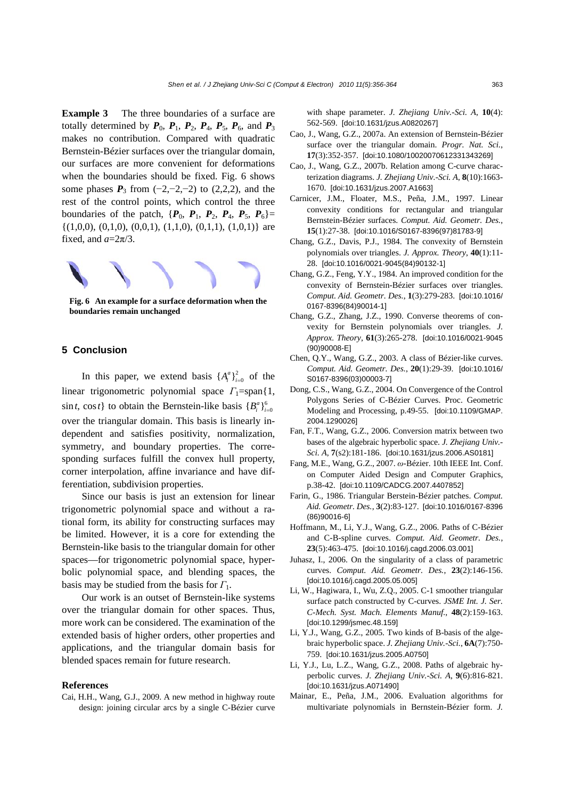**Example 3** The three boundaries of a surface are totally determined by  $P_0$ ,  $P_1$ ,  $P_2$ ,  $P_4$ ,  $P_5$ ,  $P_6$ , and  $P_3$ makes no contribution. Compared with quadratic Bernstein-Bézier surfaces over the triangular domain, our surfaces are more convenient for deformations when the boundaries should be fixed. Fig. 6 shows some phases  $P_3$  from (−2,−2,−2) to (2,2,2), and the rest of the control points, which control the three boundaries of the patch,  $\{P_0, P_1, P_2, P_4, P_5, P_6\}$ =  $\{(1,0,0), (0,1,0), (0,0,1), (1,1,0), (0,1,1), (1,0,1)\}\$  are fixed, and  $a=2\pi/3$ .



**Fig. 6 An example for a surface deformation when the boundaries remain unchanged**

#### **5 Conclusion**

In this paper, we extend basis  $\{A_i^a\}_{i=0}^2$  of the linear trigonometric polynomial space *Γ*<sub>1</sub>=span{1,  $\sin t$ ,  $\cos t$  to obtain the Bernstein-like basis  ${B_i^a}_{i=0}^6$ over the triangular domain. This basis is linearly independent and satisfies positivity, normalization, symmetry, and boundary properties. The corresponding surfaces fulfill the convex hull property, corner interpolation, affine invariance and have differentiation, subdivision properties.

Since our basis is just an extension for linear trigonometric polynomial space and without a rational form, its ability for constructing surfaces may be limited. However, it is a core for extending the Bernstein-like basis to the triangular domain for other spaces—for trigonometric polynomial space, hyperbolic polynomial space, and blending spaces, the basis may be studied from the basis for *Γ*1.

Our work is an outset of Bernstein-like systems over the triangular domain for other spaces. Thus, more work can be considered. The examination of the extended basis of higher orders, other properties and applications, and the triangular domain basis for blended spaces remain for future research.

#### **References**

Cai, H.H., Wang, G.J., 2009. A new method in highway route design: joining circular arcs by a single C-Bézier curve with shape parameter. *J. Zhejiang Univ.-Sci. A*, **10**(4): 562-569. [doi:10.1631/jzus.A0820267]

- Cao, J., Wang, G.Z., 2007a. An extension of Bernstein-Bézier surface over the triangular domain. *Progr. Nat. Sci.*, **17**(3):352-357. [doi:10.1080/10020070612331343269]
- Cao, J., Wang, G.Z., 2007b. Relation among C-curve characterization diagrams. *J. Zhejiang Univ.-Sci. A*, **8**(10):1663- 1670. [doi:10.1631/jzus.2007.A1663]
- Carnicer, J.M., Floater, M.S., Peña, J.M., 1997. Linear convexity conditions for rectangular and triangular Bernstein-Bézier surfaces. *Comput. Aid. Geometr. Des.*, **15**(1):27-38. [doi:10.1016/S0167-8396(97)81783-9]
- Chang, G.Z., Davis, P.J., 1984. The convexity of Bernstein polynomials over triangles. *J. Approx. Theory*, **40**(1):11- 28. [doi:10.1016/0021-9045(84)90132-1]
- Chang, G.Z., Feng, Y.Y., 1984. An improved condition for the convexity of Bernstein-Bézier surfaces over triangles. *Comput. Aid. Geometr. Des.*, **1**(3):279-283. [doi:10.1016/ 0167-8396(84)90014-1]
- Chang, G.Z., Zhang, J.Z., 1990. Converse theorems of convexity for Bernstein polynomials over triangles. *J. Approx. Theory*, **61**(3):265-278. [doi:10.1016/0021-9045 (90)90008-E]
- Chen, Q.Y., Wang, G.Z., 2003. A class of Bézier-like curves. *Comput. Aid. Geometr. Des.*, **20**(1):29-39. [doi:10.1016/ S0167-8396(03)00003-7]
- Dong, C.S., Wang, G.Z., 2004. On Convergence of the Control Polygons Series of C-Bézier Curves. Proc. Geometric Modeling and Processing, p.49-55. [doi:10.1109/GMAP. 2004.1290026]
- Fan, F.T., Wang, G.Z., 2006. Conversion matrix between two bases of the algebraic hyperbolic space. *J. Zhejiang Univ.- Sci. A*, **7**(s2):181-186. [doi:10.1631/jzus.2006.AS0181]
- Fang, M.E., Wang, G.Z., 2007. *ω*-Bézier. 10th IEEE Int. Conf. on Computer Aided Design and Computer Graphics, p.38-42. [doi:10.1109/CADCG.2007.4407852]
- Farin, G., 1986. Triangular Berstein-Bézier patches. *Comput. Aid. Geometr. Des.*, **3**(2):83-127. [doi:10.1016/0167-8396 (86)90016-6]
- Hoffmann, M., Li, Y.J., Wang, G.Z., 2006. Paths of C-Bézier and C-B-spline curves. *Comput. Aid. Geometr. Des.*, **23**(5):463-475. [doi:10.1016/j.cagd.2006.03.001]
- Juhasz, I., 2006. On the singularity of a class of parametric curves. *Comput. Aid. Geometr. Des.*, **23**(2):146-156. [doi:10.1016/j.cagd.2005.05.005]
- Li, W., Hagiwara, I., Wu, Z.Q., 2005. C-1 smoother triangular surface patch constructed by C-curves. *JSME Int. J. Ser. C-Mech. Syst. Mach. Elements Manuf.*, **48**(2):159-163. [doi:10.1299/jsmec.48.159]
- Li, Y.J., Wang, G.Z., 2005. Two kinds of B-basis of the algebraic hyperbolic space. *J. Zhejiang Univ.-Sci.*, **6A**(7):750- 759. [doi:10.1631/jzus.2005.A0750]
- Li, Y.J., Lu, L.Z., Wang, G.Z., 2008. Paths of algebraic hyperbolic curves. *J. Zhejiang Univ.-Sci. A*, **9**(6):816-821. [doi:10.1631/jzus.A071490]
- Mainar, E., Peña, J.M., 2006. Evaluation algorithms for multivariate polynomials in Bernstein-Bézier form. *J.*